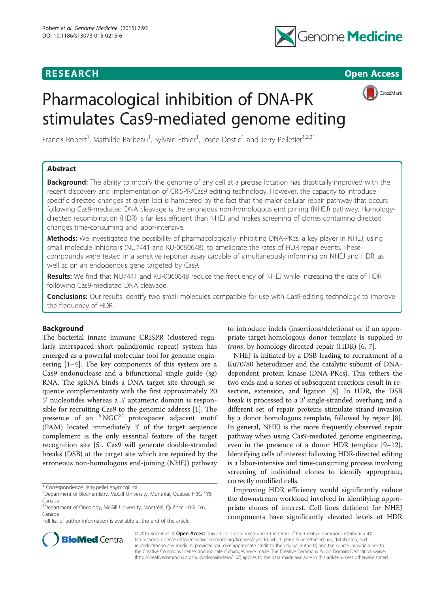# **RESEARCH RESEARCH** *CHECK <b>CHECK*



CrossMark

# Pharmacological inhibition of DNA-PK stimulates Cas9-mediated genome editing

Francis Robert<sup>1</sup>, Mathilde Barbeau<sup>1</sup>, Sylvain Éthier<sup>1</sup>, Josée Dostie<sup>1</sup> and Jerry Pelletier<sup>1,2,3\*</sup>

## Abstract

**Background:** The ability to modify the genome of any cell at a precise location has drastically improved with the recent discovery and implementation of CRISPR/Cas9 editing technology. However, the capacity to introduce specific directed changes at given loci is hampered by the fact that the major cellular repair pathway that occurs following Cas9-mediated DNA cleavage is the erroneous non-homologous end joining (NHEJ) pathway. Homologydirected recombination (HDR) is far less efficient than NHEJ and makes screening of clones containing directed changes time-consuming and labor-intensive.

Methods: We investigated the possibility of pharmacologically inhibiting DNA-PKcs, a key player in NHEJ, using small molecule inhibitors (NU7441 and KU-0060648), to ameliorate the rates of HDR repair events. These compounds were tested in a sensitive reporter assay capable of simultaneously informing on NHEJ and HDR, as well as on an endogenous gene targeted by Cas9.

Results: We find that NU7441 and KU-0060648 reduce the frequency of NHEJ while increasing the rate of HDR following Cas9-mediated DNA cleavage.

**Conclusions:** Our results identify two small molecules compatible for use with Cas9-editing technology to improve the frequency of HDR.

## Background

The bacterial innate immune CRISPR (clustered regularly interspaced short palindromic repeat) system has emerged as a powerful molecular tool for genome engineering [\[1](#page-9-0)–[4\]](#page-9-0). The key components of this system are a Cas9 endonuclease and a bifunctional single guide (sg) RNA. The sgRNA binds a DNA target site through sequence complementarity with the first approximately 20 5' nucleotides whereas a 3' aptameric domain is responsible for recruiting Cas9 to the genomic address [\[1\]](#page-9-0). The presence of an <sup>5'</sup>NGG<sup>3'</sup> protospacer adjacent motif (PAM) located immediately 3' of the target sequence complement is the only essential feature of the target recognition site [[5](#page-9-0)]. Cas9 will generate double-stranded breaks (DSB) at the target site which are repaired by the erroneous non-homologous end-joining (NHEJ) pathway

\* Correspondence: [jerry.pelletier@mcgill.ca](mailto:jerry.pelletier@mcgill.ca) <sup>1</sup>

<sup>2</sup> Department of Oncology, McGill University, Montréal, Québec H3G 1Y6, Canada

Full list of author information is available at the end of the article

to introduce indels (insertions/deletions) or if an appropriate target-homologous donor template is supplied in trans, by homology directed-repair (HDR) [\[6](#page-9-0), [7](#page-9-0)].

NHEJ is initiated by a DSB leading to recruitment of a Ku70/80 heterodimer and the catalytic subunit of DNAdependent protein kinase (DNA-PKcs). This tethers the two ends and a series of subsequent reactions result in resection, extension, and ligation [[8\]](#page-9-0). In HDR, the DSB break is processed to a 3' single-stranded overhang and a different set of repair proteins stimulate strand invasion by a donor homologous template, followed by repair [[8](#page-9-0)]. In general, NHEJ is the more frequently observed repair pathway when using Cas9-mediated genome engineering, even in the presence of a donor HDR template [\[9](#page-9-0)–[12](#page-9-0)]. Identifying cells of interest following HDR-directed editing is a labor-intensive and time-consuming process involving screening of individual clones to identify appropriate, correctly modified cells.

Improving HDR efficiency would significantly reduce the downstream workload involved in identifying appropriate clones of interest. Cell lines deficient for NHEJ components have significantly elevated levels of HDR



© 2015 Robert et al. Open Access This article is distributed under the terms of the Creative Commons Attribution 4.0 International License [\(http://creativecommons.org/licenses/by/4.0/](http://creativecommons.org/licenses/by/4.0/)), which permits unrestricted use, distribution, and reproduction in any medium, provided you give appropriate credit to the original author(s) and the source, provide a link to the Creative Commons license, and indicate if changes were made. The Creative Commons Public Domain Dedication waiver [\(http://creativecommons.org/publicdomain/zero/1.0/](http://creativecommons.org/publicdomain/zero/1.0/)) applies to the data made available in this article, unless otherwise stated.

<sup>&</sup>lt;sup>1</sup>Department of Biochemistry, McGill University, Montréal, Québec H3G 1Y6, Canada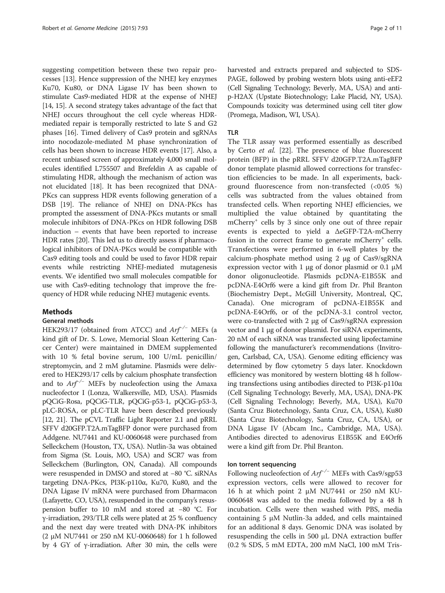suggesting competition between these two repair processes [\[13](#page-9-0)]. Hence suppression of the NHEJ key enzymes Ku70, Ku80, or DNA Ligase IV has been shown to stimulate Cas9-mediated HDR at the expense of NHEJ [[14](#page-9-0), [15\]](#page-9-0). A second strategy takes advantage of the fact that NHEJ occurs throughout the cell cycle whereas HDRmediated repair is temporally restricted to late S and G2 phases [[16](#page-9-0)]. Timed delivery of Cas9 protein and sgRNAs into nocodazole-mediated M phase synchronization of cells has been shown to increase HDR events [\[17\]](#page-9-0). Also, a recent unbiased screen of approximately 4,000 small molecules identified L755507 and Brefeldin A as capable of stimulating HDR, although the mechanism of action was not elucidated [[18](#page-9-0)]. It has been recognized that DNA-PKcs can suppress HDR events following generation of a DSB [\[19\]](#page-9-0). The reliance of NHEJ on DNA-PKcs has prompted the assessment of DNA-PKcs mutants or small molecule inhibitors of DNA-PKcs on HDR following DSB induction – events that have been reported to increase HDR rates [[20](#page-9-0)]. This led us to directly assess if pharmacological inhibitors of DNA-PKcs would be compatible with Cas9 editing tools and could be used to favor HDR repair events while restricting NHEJ-mediated mutagenesis events. We identified two small molecules compatible for use with Cas9-editing technology that improve the frequency of HDR while reducing NHEJ mutagenic events.

## Methods

## General methods

HEK293/17 (obtained from ATCC) and  $Arf^{-/-}$  MEFs (a kind gift of Dr. S. Lowe, Memorial Sloan Kettering Cancer Center) were maintained in DMEM supplemented with 10 % fetal bovine serum, 100 U/mL penicillin/ streptomycin, and 2 mM glutamine. Plasmids were delivered to HEK293/17 cells by calcium phosphate transfection and to  $Arf^{-/-}$  MEFs by nucleofection using the Amaxa nucleofector I (Lonza, Walkersville, MD, USA). Plasmids pQCiG-Rosa, pQCiG-TLR, pQCiG-p53-1, pQCiG-p53-3, pLC-ROSA, or pLC-TLR have been described previously [[12](#page-9-0), [21\]](#page-9-0). The pCVL Traffic Light Reporter 2.1 and pRRL SFFV d20GFP.T2A.mTagBFP donor were purchased from Addgene. NU7441 and KU-0060648 were purchased from Selleckchem (Houston, TX, USA). Nutlin-3a was obtained from Sigma (St. Louis, MO, USA) and SCR7 was from Selleckchem (Burlington, ON, Canada). All compounds were resuspended in DMSO and stored at −80 °C. siRNAs targeting DNA-PKcs, PI3K-p110α, Ku70, Ku80, and the DNA Ligase IV mRNA were purchased from Dharmacon (Lafayette, CO, USA), resuspended in the company's resuspension buffer to 10 mM and stored at −80 °C. For γ-irradiation, 293/TLR cells were plated at 25 % confluency and the next day were treated with DNA-PK inhibitors (2 μM NU7441 or 250 nM KU-0060648) for 1 h followed by 4 GY of γ-irradiation. After 30 min, the cells were harvested and extracts prepared and subjected to SDS-PAGE, followed by probing western blots using anti-eEF2 (Cell Signaling Technology; Beverly, MA, USA) and antip-H2AX (Upstate Biotechnology; Lake Placid, NY, USA). Compounds toxicity was determined using cell titer glow (Promega, Madison, WI, USA).

### TLR

The TLR assay was performed essentially as described by Certo et al. [[22\]](#page-9-0). The presence of blue fluorescent protein (BFP) in the pRRL SFFV d20GFP.T2A.mTagBFP donor template plasmid allowed corrections for transfection efficiencies to be made. In all experiments, background fluorescence from non-transfected (<0.05 %) cells was subtracted from the values obtained from transfected cells. When reporting NHEJ efficiencies, we multiplied the value obtained by quantitating the mCherry+ cells by 3 since only one out of three repair events is expected to yield a ΔeGFP-T2A-mCherry fusion in the correct frame to generate mCherry<sup>+</sup> cells. Transfections were performed in 6-well plates by the calcium-phosphate method using 2 μg of Cas9/sgRNA expression vector with 1 μg of donor plasmid or 0.1  $μ$ M donor oligonucleotide. Plasmids pcDNA-E1B55K and pcDNA-E4Orf6 were a kind gift from Dr. Phil Branton (Biochemistry Dept., McGill University, Montreal, QC, Canada). One microgram of pcDNA-E1B55K and pcDNA-E4Orf6, or of the pcDNA-3.1 control vector, were co-transfected with 2 μg of Cas9/sgRNA expression vector and 1 μg of donor plasmid. For siRNA experiments, 20 nM of each siRNA was transfected using lipofectamine following the manufacturer's recommendations (Invitrogen, Carlsbad, CA, USA). Genome editing efficiency was determined by flow cytometry 5 days later. Knockdown efficiency was monitored by western blotting 48 h following transfections using antibodies directed to PI3K-p110α (Cell Signaling Technology; Beverly, MA, USA), DNA-PK (Cell Signaling Technology; Beverly, MA, USA), Ku70 (Santa Cruz Biotechnology, Santa Cruz, CA, USA), Ku80 (Santa Cruz Biotechnology, Santa Cruz, CA, USA), or DNA Ligase IV (Abcam Inc., Cambridge, MA, USA). Antibodies directed to adenovirus E1B55K and E4Orf6 were a kind gift from Dr. Phil Branton.

#### Ion torrent sequencing

Following nucleofection of  $Arf^{-/-}$  MEFs with Cas9/sgp53 expression vectors, cells were allowed to recover for 16 h at which point 2 μM NU7441 or 250 nM KU-0060648 was added to the media followed by a 48 h incubation. Cells were then washed with PBS, media containing 5 μM Nutlin-3a added, and cells maintained for an additional 8 days. Genomic DNA was isolated by resuspending the cells in 500 μL DNA extraction buffer (0.2 % SDS, 5 mM EDTA, 200 mM NaCl, 100 mM Tris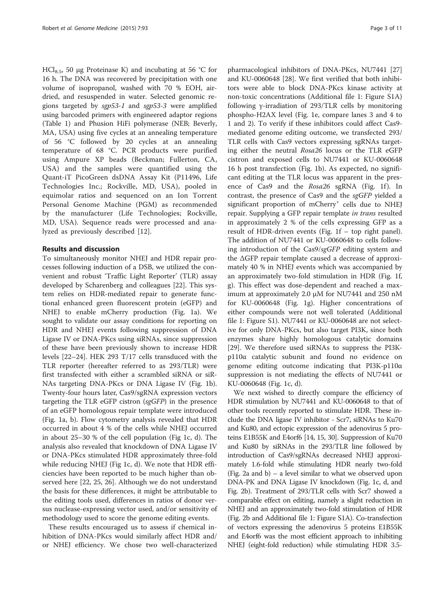HCl<sub>8.5</sub>, 50 μg Proteinase K) and incubating at 56 °C for 16 h. The DNA was recovered by precipitation with one volume of isopropanol, washed with 70 % EOH, airdried, and resuspended in water. Selected genomic regions targeted by sgp53-1 and sgp53-3 were amplified using barcoded primers with engineered adaptor regions (Table [1\)](#page-3-0) and Phusion HiFi polymerase (NEB; Beverly, MA, USA) using five cycles at an annealing temperature of 56 °C followed by 20 cycles at an annealing temperature of 68 °C. PCR products were purified using Ampure XP beads (Beckman; Fullerton, CA, USA) and the samples were quantified using the Quant-iT PicoGreen dsDNA Assay Kit (P11496, Life Technologies Inc.; Rockville, MD, USA), pooled in equimolar ratios and sequenced on an Ion Torrent Personal Genome Machine (PGM) as recommended by the manufacturer (Life Technologies; Rockville, MD, USA). Sequence reads were processed and analyzed as previously described [\[12\]](#page-9-0).

## Results and discussion

To simultaneously monitor NHEJ and HDR repair processes following induction of a DSB, we utilized the convenient and robust 'Traffic Light Reporter' (TLR) assay developed by Scharenberg and colleagues [[22\]](#page-9-0). This system relies on HDR-mediated repair to generate functional enhanced green fluorescent protein (eGFP) and NHEJ to enable mCherry production (Fig. [1a](#page-5-0)). We sought to validate our assay conditions for reporting on HDR and NHEJ events following suppression of DNA Ligase IV or DNA-PKcs using siRNAs, since suppression of these have been previously shown to increase HDR levels [[22](#page-9-0)–[24](#page-9-0)]. HEK 293 T/17 cells transduced with the TLR reporter (hereafter referred to as 293/TLR) were first transfected with either a scrambled siRNA or siR-NAs targeting DNA-PKcs or DNA Ligase IV (Fig. [1b](#page-5-0)). Twenty-four hours later, Cas9/sgRNA expression vectors targeting the TLR eGFP cistron (sgGFP) in the presence of an eGFP homologous repair template were introduced (Fig. [1a, b](#page-5-0)). Flow cytometry analysis revealed that HDR occurred in about 4 % of the cells while NHEJ occurred in about 25–30 % of the cell population (Fig [1c, d\)](#page-5-0). The analysis also revealed that knockdown of DNA Ligase IV or DNA-PKcs stimulated HDR approximately three-fold while reducing NHEJ (Fig [1c, d\)](#page-5-0). We note that HDR efficiencies have been reported to be much higher than observed here [\[22,](#page-9-0) [25, 26\]](#page-10-0). Although we do not understand the basis for these differences, it might be attributable to the editing tools used, differences in ratios of donor versus nuclease-expressing vector used, and/or sensitivity of methodology used to score the genome editing events.

These results encouraged us to assess if chemical inhibition of DNA-PKcs would similarly affect HDR and/ or NHEJ efficiency. We chose two well-characterized

pharmacological inhibitors of DNA-PKcs, NU7441 [[27](#page-10-0)] and KU-0060648 [\[28](#page-10-0)]. We first verified that both inhibitors were able to block DNA-PKcs kinase activity at non-toxic concentrations (Additional file [1](#page-9-0): Figure S1A) following γ-irradiation of 293/TLR cells by monitoring phospho-H2AX level (Fig. [1e,](#page-5-0) compare lanes 3 and 4 to 1 and 2). To verify if these inhibitors could affect Cas9 mediated genome editing outcome, we transfected 293/ TLR cells with Cas9 vectors expressing sgRNAs targeting either the neutral Rosa26 locus or the TLR eGFP cistron and exposed cells to NU7441 or KU-0060648 16 h post transfection (Fig. [1b](#page-5-0)). As expected, no significant editing at the TLR locus was apparent in the pres-ence of Cas9 and the Rosa26 sgRNA (Fig. [1f](#page-5-0)). In contrast, the presence of Cas9 and the sgGFP yielded a significant proportion of mCherry<sup>+</sup> cells due to NHEJ repair. Supplying a GFP repair template in trans resulted in approximately 2 % of the cells expressing GFP as a result of HDR-driven events (Fig. [1f](#page-5-0) – top right panel). The addition of NU7441 or KU-0060648 to cells following introduction of the Cas9/sgGFP editing system and the ΔGFP repair template caused a decrease of approximately 40 % in NHEJ events which was accompanied by an approximately two-fold stimulation in HDR (Fig. [1f,](#page-5-0) [g](#page-5-0)). This effect was dose-dependent and reached a maximum at approximately 2.0 μM for NU7441 and 250 nM for KU-0060648 (Fig. [1g\)](#page-5-0). Higher concentrations of either compounds were not well tolerated (Additional file [1:](#page-9-0) Figure S1). NU7441 or KU-0060648 are not selective for only DNA-PKcs, but also target PI3K, since both enzymes share highly homologous catalytic domains [[29\]](#page-10-0). We therefore used siRNAs to suppress the PI3Kp110α catalytic subunit and found no evidence on genome editing outcome indicating that PI3K-p110α suppression is not mediating the effects of NU7441 or KU-0060648 (Fig. [1c, d\)](#page-5-0).

We next wished to directly compare the efficiency of HDR stimulation by NU7441 and KU-0060648 to that of other tools recently reported to stimulate HDR. These include the DNA ligase IV inhibitor - Scr7, siRNAs to Ku70 and Ku80, and ectopic expression of the adenovirus 5 proteins E1B55K and E4orf6 [\[14, 15,](#page-9-0) [30](#page-10-0)]. Suppression of Ku70 and Ku80 by siRNAs in the 293/TLR line followed by introduction of Cas9/sgRNAs decreased NHEJ approximately 1.6-fold while stimulating HDR nearly two-fold (Fig. [2a and b](#page-6-0)) – a level similar to what we observed upon DNA-PK and DNA Ligase IV knockdown (Fig. [1c, d](#page-5-0), and Fig. [2b](#page-6-0)). Treatment of 293/TLR cells with Scr7 showed a comparable effect on editing, namely a slight reduction in NHEJ and an approximately two-fold stimulation of HDR (Fig. [2b](#page-6-0) and Additional file [1](#page-9-0): Figure S1A). Co-transfection of vectors expressing the adenovirus 5 proteins E1B55K and E4orf6 was the most efficient approach to inhibiting NHEJ (eight-fold reduction) while stimulating HDR 3.5-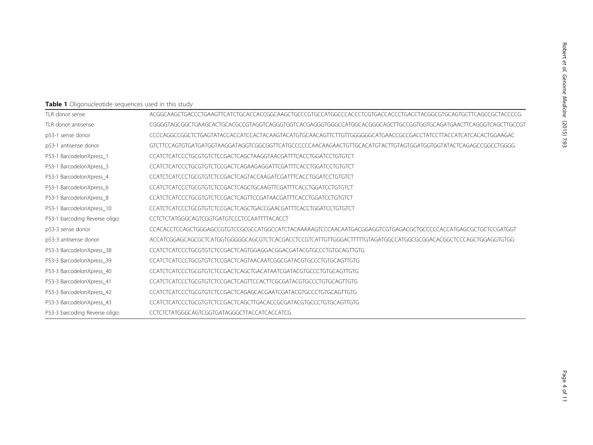## <span id="page-3-0"></span>Table 1 Oligonucleotide sequences used in this study

| TLR donor sense                | ACGGCAAGCTGACCCTGAAGTTCATCTGCACCACCGGCAAGCTGCCCGTGCCATGGCCCATCGTCGTGACCTCGTGACCTACGGCGTGCAGTGCTTCAGCCGTACCCCG   |
|--------------------------------|-----------------------------------------------------------------------------------------------------------------|
| TLR donor antisense            | CGGGGTAGCGGCTGAAGCACTGCACGCCGTAGGTCAGGGTGGTCACGAGGGTGGGCCATGGCACGGGCAGCTTGCCGGTGGTGCAGATGAACTTCAGGGTCAGCTCGCCGT |
| p53-1 sense donor              | CCCCAGGCCGGCTCTGAGTATACCACCATCCACTACAAGTACATGTGCAACAGTTCTTGTTGGGGGGCATGAACCGCCGACCTATCCTTACCATCATCACACTGGAAGAC  |
| p53-1 antisense donor          | GTCTTCCAGTGTGATGATGGTAAGGATAGGTCGGCGGTTCATGCCCCCCAACAAGAACTGTTGCACATGTACTTGTAGTGGATGGTGGTATACTCAGAGCCGGCCTGGGG  |
| BarcodelonXpress_1<br>P53-1    | CCATCTCATCCCTGCGTGTCTCCGACTCAGCTAAGGTAACGATTTCACCTGGATCCTGTGTCT                                                 |
| P53-1 BarcodelonXpress_3       | CCATCTCATCCCTGCGTGTCTCCGACTCAGAAGAGGATTCGATTTCACCTGGATCCTGTGTCT                                                 |
| P53-1 BarcodelonXpress 4       | CCATCTCATCCCTGCGTGTCTCCGACTCAGTACCAAGATCGATTTCACCTGGATCCTGTGTCT                                                 |
| P53-1 BarcodelonXpress_6       | CCATCTCATCCCTGCGTGTCTCCGACTCAGCTGCAAGTTCGATTTCACCTGGATCCTGTGTCT                                                 |
| P53-1 BarcodelonXpress_8       | CCATCTCATCCCTGCGTGTCTCCGACTCAGTTCCGATAACGATTTCACCTGGATCCTGTGTCT                                                 |
| P53-1 BarcodelonXpress 10      | CCATCTCATCCCTGCGTGTCTCCGACTCAGCTGACCGAACGATTTCACCTGGATCCTGTGTCT                                                 |
| P53-1 barcoding Reverse oligo: | CCTCTCTATGGGCAGTCGGTGATGTCCCTCCAATTTTACACCT                                                                     |
| p53-3 sense donor              | CCACACCTCCAGCTGGGAGCCGTGTCCGCGCCATGGCCATCTACAAAAAGTCCCAACAATGACGGAGGTCGTGAGACGCTGCCCCACCATGAGCGTGCTCCGATGGT     |
| p53-3 antisense donor          | ACCATCGGAGCAGCGCTCATGGTGGGGGCAGCGTCTCACGACCTCCGTCATTGTTGGGACTTTTTGTAGATGGCCATGGCGCGACACGGCTCCCAGCTGGAGGTGTGGG   |
| P53-3 BarcodelonXpress_38      |                                                                                                                 |
| P53-3 BarcodelonXpress 39      | CCATCTCATCCCTGCGTGTCTCCGACTCAGTAACAATCGGCGATACGTGCCCTGTGCAGTTGTG                                                |
| P53-3 BarcodelonXpress_40      | CCATCTCATCCCTGCGTGTCTCCGACTCAGCTGACATAATCGATACGTGCCCTGTGCAGTTGTG                                                |
| P53-3 BarcodelonXpress_41      | CCATCTCATCCCTGCGTGTCTCCGACTCAGTTCCACTTCGCGATACGTGCCCTGTGCAGTTGTG                                                |
| P53-3 BarcodelonXpress_42      | CCATCTCATCCCTGCGTGTCTCCGACTCAGAGCACGAATCGATACGTGCCCTGTGCAGTTGTG                                                 |
| P53-3 BarcodelonXpress_43      | CCATCTCATCCCTGCGTGTCTCCGACTCAGCTTGACACCGCGATACGTGCCCTGTGCAGTTGTG                                                |
| P53-3 barcoding Reverse oligo: | CCTCTCTATGGGCAGTCGGTGATAGGGCTTACCATCACCATCG                                                                     |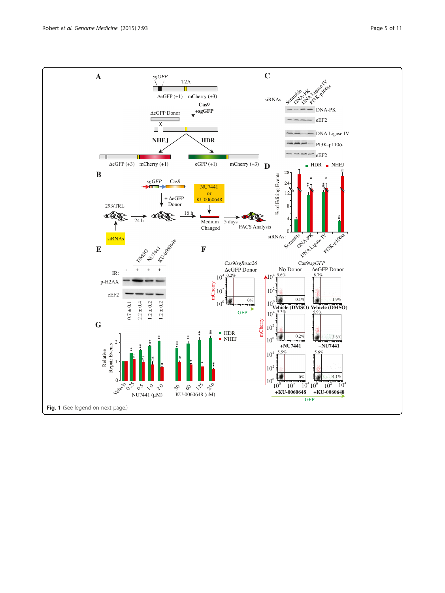Fig. 1 (See legend on next page.)

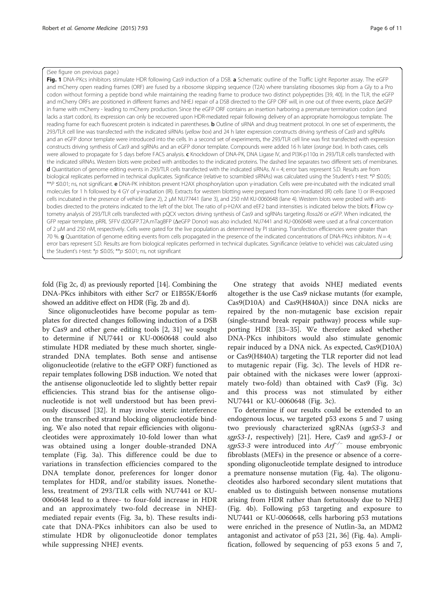#### <span id="page-5-0"></span>(See figure on previous page.)

Fig. 1 DNA-PKcs inhibitors stimulate HDR following Cas9 induction of a DSB. a Schematic outline of the Traffic Light Reporter assay. The eGFP and mCherry open reading frames (ORF) are fused by a ribosome skipping sequence (T2A) where translating ribosomes skip from a Gly to a Pro codon without forming a peptide bond while maintaining the reading frame to produce two distinct polypeptides [\[39](#page-10-0), [40](#page-10-0)]. In the TLR, the eGFP and mCherry ORFs are positioned in different frames and NHEJ repair of a DSB directed to the GFP ORF will, in one out of three events, place ΔeGFP in frame with mCherry - leading to mCherry production. Since the eGFP ORF contains an insertion harboring a premature termination codon (and lacks a start codon), its expression can only be recovered upon HDR-mediated repair following delivery of an appropriate homologous template. The reading frame for each fluorescent protein is indicated in parentheses. **b** Outline of siRNA and drug treatment protocol. In one set of experiments, the 293/TLR cell line was transfected with the indicated siRNAs (yellow box) and 24 h later expression constructs driving synthesis of Cas9 and sgRNAs and an eGFP donor template were introduced into the cells. In a second set of experiments, the 293/TLR cell line was first transfected with expression constructs driving synthesis of Cas9 and sgRNAs and an eGFP donor template. Compounds were added 16 h later (orange box). In both cases, cells were allowed to propagate for 5 days before FACS analysis. c Knockdown of DNA-PK, DNA Ligase IV, and PI3K-p110a in 293/TLR cells transfected with the indicated siRNAs. Western blots were probed with antibodies to the indicated proteins. The dashed line separates two different sets of membranes. **d** Quantitation of genome editing events in 293/TLR cells transfected with the indicated siRNAs.  $N = 4$ ; error bars represent S.D. Results are from biological replicates performed in technical duplicates. Significance (relative to scrambled siRNAs) was calculated using the Student's t-test: \*P ≤0.05; \*\*P <sup>≤</sup>0.01; ns, not significant. <sup>e</sup> DNA-PK inhibitors prevent H2AX phosphorylation upon <sup>γ</sup>-irradiation. Cells were pre-incubated with the indicated small molecules for 1 h followed by 4 GY of γ-irradiation (IR). Extracts for western blotting were prepared from non-irradiated (IR) cells (lane 1) or IR-exposed cells incubated in the presence of vehicle (lane 2), 2 μM NU77441 (lane 3), and 250 nM KU-0060648 (lane 4). Western blots were probed with antibodies directed to the proteins indicated to the left of the blot. The ratio of p-H2AX and eEF2 band intensities is indicated below the blots. f Flow cytometry analysis of 293/TLR cells transfected with pQCX vectors driving synthesis of Cas9 and sgRNAs targeting Rosa26 or eGFP. When indicated, the GFP repair template, pRRL SFFV d20GFP.T2A.mTagBFP (ΔeGFP Donor) was also included. NU7441 and KU-0060648 were used at a final concentration of 2 μM and 250 nM, respectively. Cells were gated for the live population as determined by PI staining. Transfection efficiencies were greater than 70 %. g Quantitation of genome editing events from cells propagated in the presence of the indicated concentrations of DNA-PKcs inhibitors.  $N=4$ ; error bars represent S.D. Results are from biological replicates performed in technical duplicates. Significance (relative to vehicle) was calculated using the Student's t-test:  $*_{D} \leq 0.05$ ;  $**_{D} \leq 0.01$ ; ns, not significant

fold (Fig [2c, d](#page-6-0)) as previously reported [[14](#page-9-0)]. Combining the DNA-PKcs inhibitors with either Scr7 or E1B55K/E4orf6 showed an additive effect on HDR (Fig. [2b and d\)](#page-6-0).

Since oligonucleotides have become popular as templates for directed changes following induction of a DSB by Cas9 and other gene editing tools [\[2,](#page-9-0) [31\]](#page-10-0) we sought to determine if NU7441 or KU-0060648 could also stimulate HDR mediated by these much shorter, singlestranded DNA templates. Both sense and antisense oligonucleotide (relative to the eGFP ORF) functioned as repair templates following DSB induction. We noted that the antisense oligonucleotide led to slightly better repair efficiencies. This strand bias for the antisense oligonucleotide is not well understood but has been previously discussed [[32\]](#page-10-0). It may involve steric interference on the transcribed strand blocking oligonucleotide binding. We also noted that repair efficiencies with oligonucleotides were approximately 10-fold lower than what was obtained using a longer double-stranded DNA template (Fig. [3a\)](#page-7-0). This difference could be due to variations in transfection efficiencies compared to the DNA template donor, preferences for longer donor templates for HDR, and/or stability issues. Nonetheless, treatment of 293/TLR cells with NU7441 or KU-0060648 lead to a three- to four-fold increase in HDR and an approximately two-fold decrease in NHEJmediated repair events (Fig. [3a, b](#page-7-0)). These results indicate that DNA-PKcs inhibitors can also be used to stimulate HDR by oligonucleotide donor templates while suppressing NHEJ events.

One strategy that avoids NHEJ mediated events altogether is the use Cas9 nickase mutants (for example, Cas9(D10A) and Cas9(H840A)) since DNA nicks are repaired by the non-mutagenic base excision repair (single-strand break repair pathway) process while supporting HDR [\[33](#page-10-0)–[35](#page-10-0)]. We therefore asked whether DNA-PKcs inhibitors would also stimulate genomic repair induced by a DNA nick. As expected, Cas9(D10A) or Cas9(H840A) targeting the TLR reporter did not lead to mutagenic repair (Fig. [3c\)](#page-7-0). The levels of HDR repair obtained with the nickases were lower (approximately two-fold) than obtained with Cas9 (Fig. [3c\)](#page-7-0) and this process was not stimulated by either NU7441 or KU-0060648 (Fig. [3c](#page-7-0)).

To determine if our results could be extended to an endogenous locus, we targeted p53 exons 5 and 7 using two previously characterized sgRNAs (sgp53-3 and sgp53-1, respectively) [[21](#page-9-0)]. Here, Cas9 and sgp53-1 or sgp53-3 were introduced into  $Arf^{-/-}$  mouse embryonic fibroblasts (MEFs) in the presence or absence of a corresponding oligonucleotide template designed to introduce a premature nonsense mutation (Fig. [4a](#page-8-0)). The oligonucleotides also harbored secondary silent mutations that enabled us to distinguish between nonsense mutations arising from HDR rather than fortuitously due to NHEJ (Fig. [4b\)](#page-8-0). Following p53 targeting and exposure to NU7441 or KU-0060648, cells harboring p53 mutations were enriched in the presence of Nutlin-3a, an MDM2 antagonist and activator of p53 [\[21](#page-9-0), [36](#page-10-0)] (Fig. [4a\)](#page-8-0). Amplification, followed by sequencing of p53 exons 5 and 7,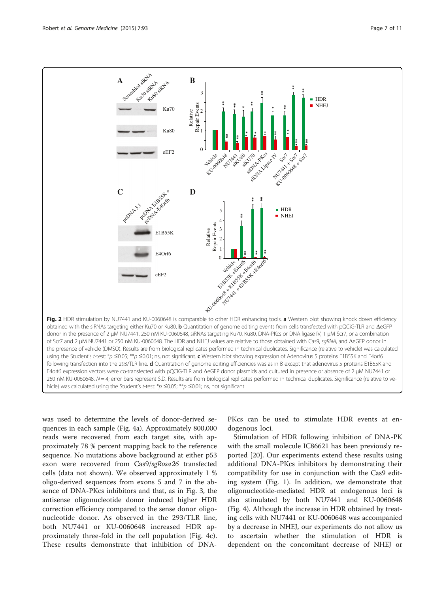<span id="page-6-0"></span>

was used to determine the levels of donor-derived sequences in each sample (Fig. [4a\)](#page-8-0). Approximately 800,000 reads were recovered from each target site, with approximately 78 % percent mapping back to the reference sequence. No mutations above background at either p53 exon were recovered from Cas9/sgRosa26 transfected cells (data not shown). We observed approximately 1 % oligo-derived sequences from exons 5 and 7 in the absence of DNA-PKcs inhibitors and that, as in Fig. [3](#page-7-0), the antisense oligonucleotide donor induced higher HDR correction efficiency compared to the sense donor oligonucleotide donor. As observed in the 293/TLR line, both NU7441 or KU-0060648 increased HDR approximately three-fold in the cell population (Fig. [4c](#page-8-0)). These results demonstrate that inhibition of DNA- PKcs can be used to stimulate HDR events at endogenous loci.

Stimulation of HDR following inhibition of DNA-PK with the small molecule IC86621 has been previously reported [\[20](#page-9-0)]. Our experiments extend these results using additional DNA-PKcs inhibitors by demonstrating their compatibility for use in conjunction with the Cas9 editing system (Fig. [1\)](#page-5-0). In addition, we demonstrate that oligonucleotide-mediated HDR at endogenous loci is also stimulated by both NU7441 and KU-0060648 (Fig. [4](#page-8-0)). Although the increase in HDR obtained by treating cells with NU7441 or KU-0060648 was accompanied by a decrease in NHEJ, our experiments do not allow us to ascertain whether the stimulation of HDR is dependent on the concomitant decrease of NHEJ or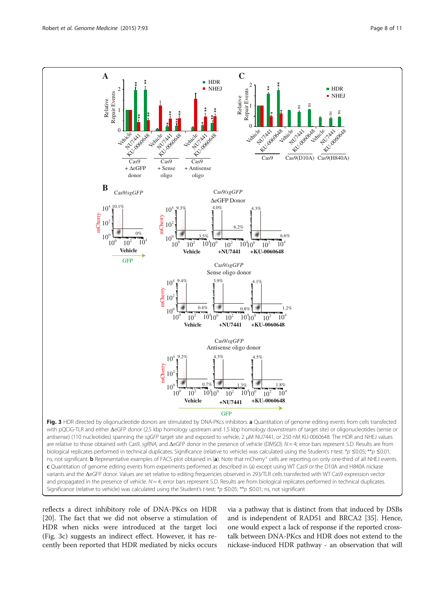<span id="page-7-0"></span>

reflects a direct inhibitory role of DNA-PKcs on HDR [[20\]](#page-9-0). The fact that we did not observe a stimulation of HDR when nicks were introduced at the target loci (Fig. 3c) suggests an indirect effect. However, it has recently been reported that HDR mediated by nicks occurs

via a pathway that is distinct from that induced by DSBs and is independent of RAD51 and BRCA2 [[35](#page-10-0)]. Hence, one would expect a lack of response if the reported crosstalk between DNA-PKcs and HDR does not extend to the nickase-induced HDR pathway - an observation that will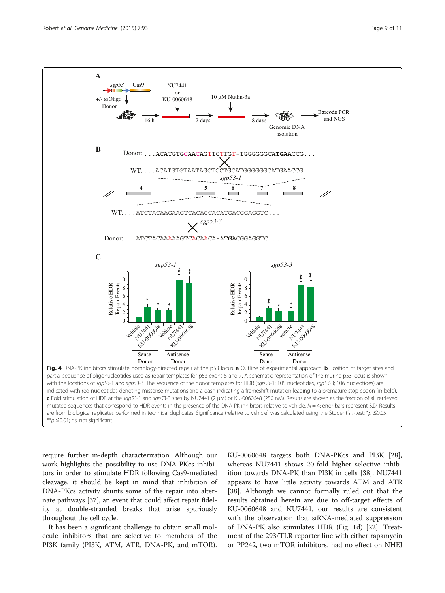<span id="page-8-0"></span>

require further in-depth characterization. Although our work highlights the possibility to use DNA-PKcs inhibitors in order to stimulate HDR following Cas9-mediated cleavage, it should be kept in mind that inhibition of DNA-PKcs activity shunts some of the repair into alternate pathways [[37](#page-10-0)], an event that could affect repair fidelity at double-stranded breaks that arise spuriously throughout the cell cycle.

It has been a significant challenge to obtain small molecule inhibitors that are selective to members of the PI3K family (PI3K, ATM, ATR, DNA-PK, and mTOR).

KU-0060648 targets both DNA-PKcs and PI3K [\[28](#page-10-0)], whereas NU7441 shows 20-fold higher selective inhibition towards DNA-PK than PI3K in cells [[38](#page-10-0)]. NU7441 appears to have little activity towards ATM and ATR [[38\]](#page-10-0). Although we cannot formally ruled out that the results obtained herein are due to off-target effects of KU-0060648 and NU7441, our results are consistent with the observation that siRNA-mediated suppression of DNA-PK also stimulates HDR (Fig. [1d\)](#page-5-0) [\[22](#page-9-0)]. Treatment of the 293/TLR reporter line with either rapamycin or PP242, two mTOR inhibitors, had no effect on NHEJ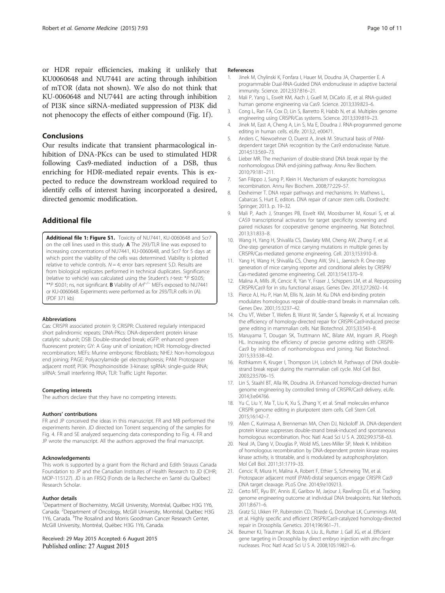<span id="page-9-0"></span>or HDR repair efficiencies, making it unlikely that KU0060648 and NU7441 are acting through inhibition of mTOR (data not shown). We also do not think that KU-0060648 and NU7441 are acting through inhibition of PI3K since siRNA-mediated suppression of PI3K did not phenocopy the effects of either compound (Fig. [1f](#page-5-0) ).

## Conclusions

Our results indicate that transient pharmacological inhibition of DNA-PKcs can be used to stimulated HDR following Cas9-mediated induction of a DSB, thus enriching for HDR-mediated repair events. This is expected to reduce the downstream workload required to identify cells of interest having incorporated a desired, directed genomic modification.

## Additional file

[Additional file 1: Figure S1.](http://genomemedicine.com/content/supplementary/s13073-015-0215-6-s1.pdf) Toxicity of NU7441, KU-0060648 and Scr7 on the cell lines used in this study. A The 293/TLR line was exposed to increasing concentrations of NU7441, KU-0060648, and Scr7 for 5 days at which point the viability of the cells was determined. Viability is plotted relative to vehicle controls.  $N = 4$ ; error bars represent S.D. Results are from biological replicates performed in technical duplicates. Significance (relative to vehicle) was calculated using the Student'<sup>s</sup> t-test: \*P <sup>≤</sup>0.05; \*\*<sup>P</sup> <sup>≤</sup>0.01; ns, not significant. <sup>B</sup> Viability of Arf−/<sup>−</sup> MEFs exposed to NU7441 or KU-0060648. Experiments were performed as for 293/TLR cells in (A). (PDF 371 kb)

#### Abbreviations

Cas: CRISPR associated protein 9; CRISPR: Clustered regularly interspaced short palindromic repeats; DNA-PKcs: DNA-dependent protein kinase catalytic subunit; DSB: Double-stranded break; eGFP: enhanced green fluorescent protein; GY: A Gray unit of ionization; HDR: Homology-directed recombination; MEFs: Murine embryonic fibroblasts; NHEJ: Non-homologous end joining; PAGE: Polyacrylamide gel electrophoresis; PAM: Protospacer adjacent motif; PI3K: Phosphoinositide 3-kinase; sgRNA: single-guide RNA; siRNA: Small interfering RNA; TLR: Traffic Light Reporter.

#### Competing interests

The authors declare that they have no competing interests.

#### Authors' contributions

FR and JP conceived the ideas in this manuscript. FR and MB performed the experiments herein. JD directed Ion Torrent sequencing of the samples for Fig. [4.](#page-8-0) FR and SE analyzed sequencing data corresponding to Fig. [4](#page-8-0). FR and JP wrote the manuscript. All the authors approved the final manuscript.

#### Acknowledgements

This work is supported by a grant from the Richard and Edith Strauss Canada Foundation to JP and the Canadian Institutes of Health Research to JD (CIHR; MOP-115127). JD is an FRSQ (Fonds de la Recherche en Santé du Québec) Research Scholar.

#### Author details

<sup>1</sup>Department of Biochemistry, McGill University, Montréal, Québec H3G 1Y6, Canada. <sup>2</sup>Department of Oncology, McGill University, Montréal, Québec H3G 1Y6, Canada. <sup>3</sup>The Rosalind and Morris Goodman Cancer Research Center, McGill University, Montréal, Québec H3G 1Y6, Canada.

#### Received: 29 May 2015 Accepted: 6 August 2015 Published online: 27 August 2015

#### References

- 1. Jinek M, Chylinski K, Fonfara I, Hauer M, Doudna JA, Charpentier E. A programmable Dual-RNA-Guided DNA endonuclease in adaptive bacterial immunity. Science. 2012;337:816–21.
- 2. Mali P, Yang L, Esvelt KM, Aach J, Guell M, DiCarlo JE, et al. RNA-guided human genome engineering via Cas9. Science. 2013;339:823–6.
- 3. Cong L, Ran FA, Cox D, Lin S, Barretto R, Habib N, et al. Multiplex genome engineering using CRISPR/Cas systems. Science. 2013;339:819–23.
- 4. Jinek M, East A, Cheng A, Lin S, Ma E, Doudna J. RNA-programmed genome editing in human cells. eLife. 2013;2, e00471.
- 5. Anders C, Niewoehner O, Duerst A, Jinek M. Structural basis of PAMdependent target DNA recognition by the Cas9 endonuclease. Nature. 2014;513:569–73.
- 6. Lieber MR. The mechanism of double-strand DNA break repair by the nonhomologous DNA end-joining pathway. Annu Rev Biochem. 2010;79:181–211.
- 7. San Filippo J, Sung P, Klein H. Mechanism of eukaryotic homologous recombination. Annu Rev Biochem. 2008;77:229–57.
- 8. Dexheimer T. DNA repair pathways and mechanisms. In: Mathews L, Cabarcas S, Hurt E, editors. DNA repair of cancer stem cells. Dordrecht: Springer; 2013. p. 19–32.
- 9. Mali P, Aach J, Stranges PB, Esvelt KM, Moosburner M, Kosuri S, et al. CAS9 transcriptional activators for target specificity screening and paired nickases for cooperative genome engineering. Nat Biotechnol. 2013;31:833–8.
- 10. Wang H, Yang H, Shivalila CS, Dawlaty MM, Cheng AW, Zhang F, et al. One-step generation of mice carrying mutations in multiple genes by CRISPR/Cas-mediated genome engineering. Cell. 2013;153:910–8.
- 11. Yang H, Wang H, Shivalila CS, Cheng AW, Shi L, Jaenisch R. One-step generation of mice carrying reporter and conditional alleles by CRISPR/ Cas-mediated genome engineering. Cell. 2013;154:1370–9.
- 12. Malina A, Mills JR, Cencic R, Yan Y, Fraser J, Schippers LM, et al. Repurposing CRISPR/Cas9 for in situ functional assays. Genes Dev. 2013;27:2602–14.
- 13. Pierce AJ, Hu P, Han M, Ellis N, Jasin M. Ku DNA end-binding protein modulates homologous repair of double-strand breaks in mammalian cells. Genes Dev. 2001;15:3237–42.
- 14. Chu VT, Weber T, Wefers B, Wurst W, Sander S, Rajewsky K, et al. Increasing the efficiency of homology-directed repair for CRISPR-Cas9-induced precise gene editing in mammalian cells. Nat Biotechnol. 2015;33:543–8.
- 15. Maruyama T, Dougan SK, Truttmann MC, Bilate AM, Ingram JR, Ploegh HL. Increasing the efficiency of precise genome editing with CRISPR-Cas9 by inhibition of nonhomologous end joining. Nat Biotechnol. 2015;33:538–42.
- 16. Rothkamm K, Kruger I, Thompson LH, Lobrich M. Pathways of DNA doublestrand break repair during the mammalian cell cycle. Mol Cell Biol. 2003;23:5706–15.
- 17. Lin S, Staahl BT, Alla RK, Doudna JA. Enhanced homology-directed human genome engineering by controlled timing of CRISPR/Cas9 delivery. eLife. 2014;3:e04766.
- 18. Yu C, Liu Y, Ma T, Liu K, Xu S, Zhang Y, et al. Small molecules enhance CRISPR genome editing in pluripotent stem cells. Cell Stem Cell. 2015;16:142–7.
- 19. Allen C, Kurimasa A, Brenneman MA, Chen DJ, Nickoloff JA. DNA-dependent protein kinase suppresses double-strand break-induced and spontaneous homologous recombination. Proc Natl Acad Sci U S A. 2002;99:3758–63.
- 20. Neal JA, Dang V, Douglas P, Wold MS, Lees-Miller SP, Meek K. Inhibition of homologous recombination by DNA-dependent protein kinase requires kinase activity, is titratable, and is modulated by autophosphorylation. Mol Cell Biol. 2011;31:1719–33.
- 21. Cencic R, Miura H, Malina A, Robert F, Ethier S, Schmeing TM, et al. Protospacer adjacent motif (PAM)-distal sequences engage CRISPR Cas9 DNA target cleavage. PLoS One. 2014;9:e109213.
- 22. Certo MT, Ryu BY, Annis JE, Garibov M, Jarjour J, Rawlings DJ, et al. Tracking genome engineering outcome at individual DNA breakpoints. Nat Methods. 2011;8:671–6.
- 23. Gratz SJ, Ukken FP, Rubinstein CD, Thiede G, Donohue LK, Cummings AM, et al. Highly specific and efficient CRISPR/Cas9-catalyzed homology-directed repair in Drosophila. Genetics. 2014;196:961–71.
- 24. Beumer KJ, Trautman JK, Bozas A, Liu JL, Rutter J, Gall JG, et al. Efficient gene targeting in Drosophila by direct embryo injection with zinc-finger nucleases. Proc Natl Acad Sci U S A. 2008;105:19821–6.